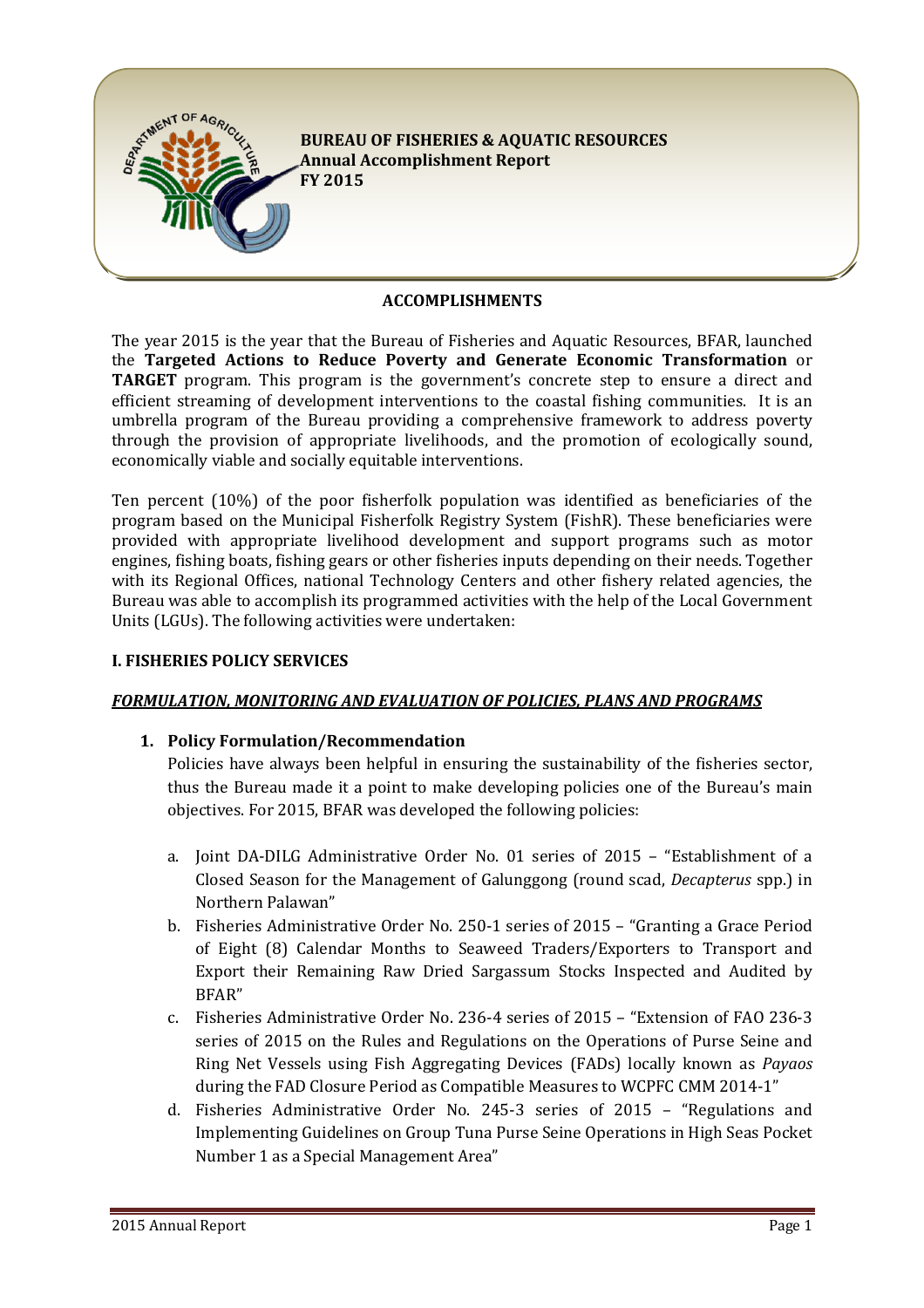

### **ACCOMPLISHMENTS**

The vear 2015 is the year that the Bureau of Fisheries and Aquatic Resources, BFAR, launched the **Targeted Actions to Reduce Poverty and Generate Economic Transformation** or **TARGET** program. This program is the government's concrete step to ensure a direct and efficient streaming of development interventions to the coastal fishing communities. It is an umbrella program of the Bureau providing a comprehensive framework to address poverty through the provision of appropriate livelihoods, and the promotion of ecologically sound, economically viable and socially equitable interventions.

Ten percent (10%) of the poor fisherfolk population was identified as beneficiaries of the program based on the Municipal Fisherfolk Registry System (FishR). These beneficiaries were provided with appropriate livelihood development and support programs such as motor engines, fishing boats, fishing gears or other fisheries inputs depending on their needs. Together with its Regional Offices, national Technology Centers and other fishery related agencies, the Bureau was able to accomplish its programmed activities with the help of the Local Government Units (LGUs). The following activities were undertaken:

#### **L. FISHERIES POLICY SERVICES**

### FORMULATION, MONITORING AND EVALUATION OF POLICIES, PLANS AND PROGRAMS

### **1. Policy Formulation/Recommendation**

Policies have always been helpful in ensuring the sustainability of the fisheries sector, thus the Bureau made it a point to make developing policies one of the Bureau's main objectives. For 2015, BFAR was developed the following policies:

- a. Joint DA-DILG Administrative Order No. 01 series of 2015 "Establishment of a Closed Season for the Management of Galunggong (round scad, *Decapterus* spp.) in Northern Palawan"
- b. Fisheries Administrative Order No. 250-1 series of 2015 "Granting a Grace Period of Eight (8) Calendar Months to Seaweed Traders/Exporters to Transport and Export their Remaining Raw Dried Sargassum Stocks Inspected and Audited by BFAR"
- c. Fisheries Administrative Order No. 236-4 series of 2015 "Extension of FAO 236-3" series of 2015 on the Rules and Regulations on the Operations of Purse Seine and Ring Net Vessels using Fish Aggregating Devices (FADs) locally known as *Payaos* during the FAD Closure Period as Compatible Measures to WCPFC CMM 2014-1"
- d. Fisheries Administrative Order No. 245-3 series of 2015 "Regulations and Implementing Guidelines on Group Tuna Purse Seine Operations in High Seas Pocket Number 1 as a Special Management Area"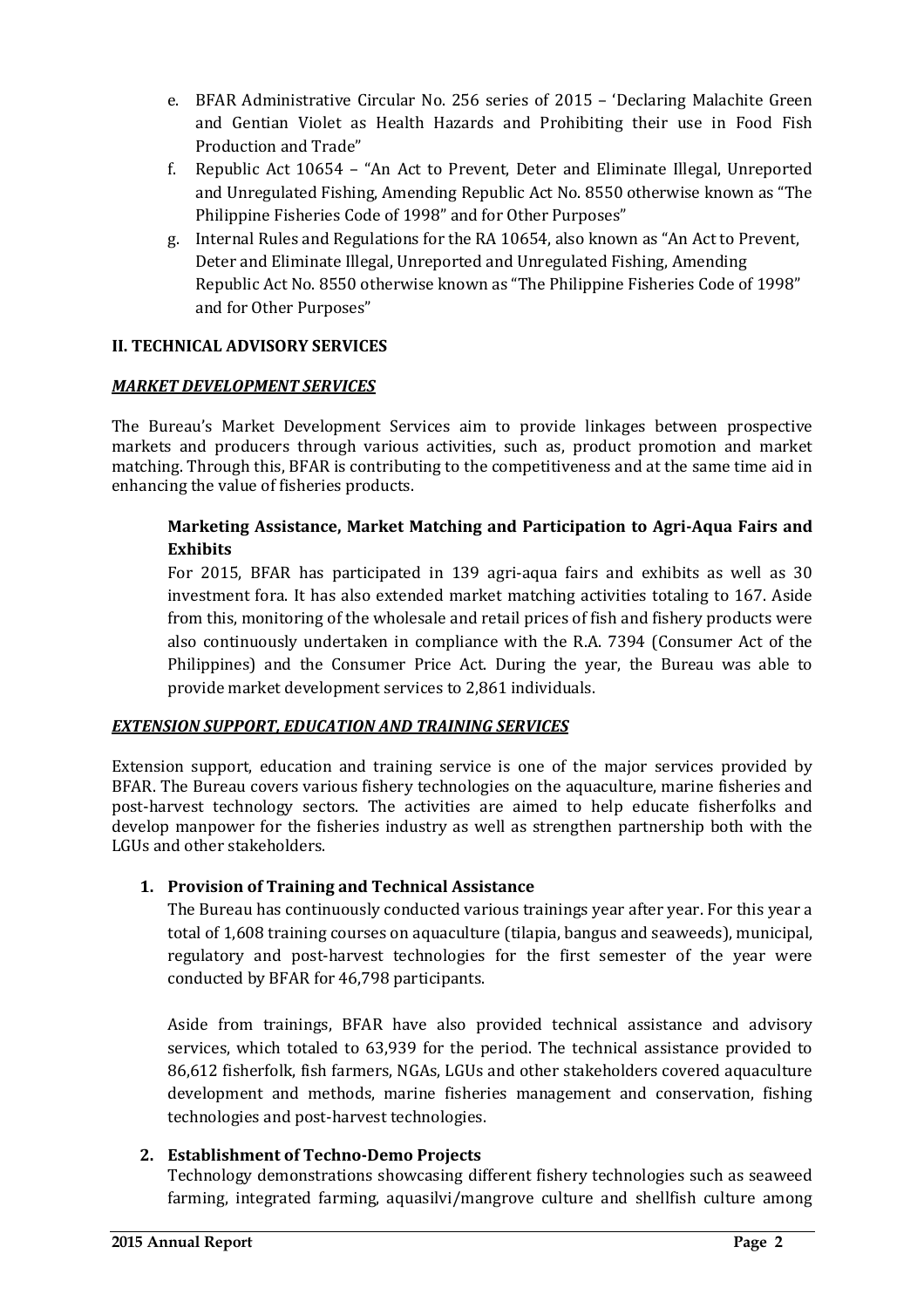- e. BFAR Administrative Circular No. 256 series of 2015 'Declaring Malachite Green and Gentian Violet as Health Hazards and Prohibiting their use in Food Fish Production and Trade"
- f. Republic Act 10654 "An Act to Prevent, Deter and Eliminate Illegal, Unreported and Unregulated Fishing, Amending Republic Act No. 8550 otherwise known as "The Philippine Fisheries Code of 1998" and for Other Purposes"
- g. Internal Rules and Regulations for the RA 10654, also known as "An Act to Prevent, Deter and Eliminate Illegal, Unreported and Unregulated Fishing, Amending Republic Act No. 8550 otherwise known as "The Philippine Fisheries Code of 1998" and for Other Purposes"

## **II. TECHNICAL ADVISORY SERVICES**

### **MARKET DEVELOPMENT SERVICES**

The Bureau's Market Development Services aim to provide linkages between prospective markets and producers through various activities, such as, product promotion and market matching. Through this, BFAR is contributing to the competitiveness and at the same time aid in enhancing the value of fisheries products.

# **Marketing Assistance, Market Matching and Participation to Agri-Aqua Fairs and Exhibits**

For 2015, BFAR has participated in 139 agri-aqua fairs and exhibits as well as 30 investment fora. It has also extended market matching activities totaling to 167. Aside from this, monitoring of the wholesale and retail prices of fish and fishery products were also continuously undertaken in compliance with the R.A. 7394 (Consumer Act of the Philippines) and the Consumer Price Act. During the year, the Bureau was able to provide market development services to 2,861 individuals.

### **EXTENSION SUPPORT, EDUCATION AND TRAINING SERVICES**

Extension support, education and training service is one of the major services provided by BFAR. The Bureau covers various fishery technologies on the aquaculture, marine fisheries and post-harvest technology sectors. The activities are aimed to help educate fisherfolks and develop manpower for the fisheries industry as well as strengthen partnership both with the LGUs and other stakeholders.

# 1. Provision of Training and Technical Assistance

The Bureau has continuously conducted various trainings year after year. For this year a total of 1,608 training courses on aquaculture (tilapia, bangus and seaweeds), municipal, regulatory and post-harvest technologies for the first semester of the year were conducted by BFAR for 46,798 participants.

Aside from trainings, BFAR have also provided technical assistance and advisory services, which totaled to 63,939 for the period. The technical assistance provided to 86,612 fisherfolk, fish farmers, NGAs, LGUs and other stakeholders covered aquaculture development and methods, marine fisheries management and conservation, fishing technologies and post-harvest technologies.

### **2. Establishment of Techno-Demo Projects**

Technology demonstrations showcasing different fishery technologies such as seaweed farming, integrated farming, aquasilvi/mangrove culture and shellfish culture among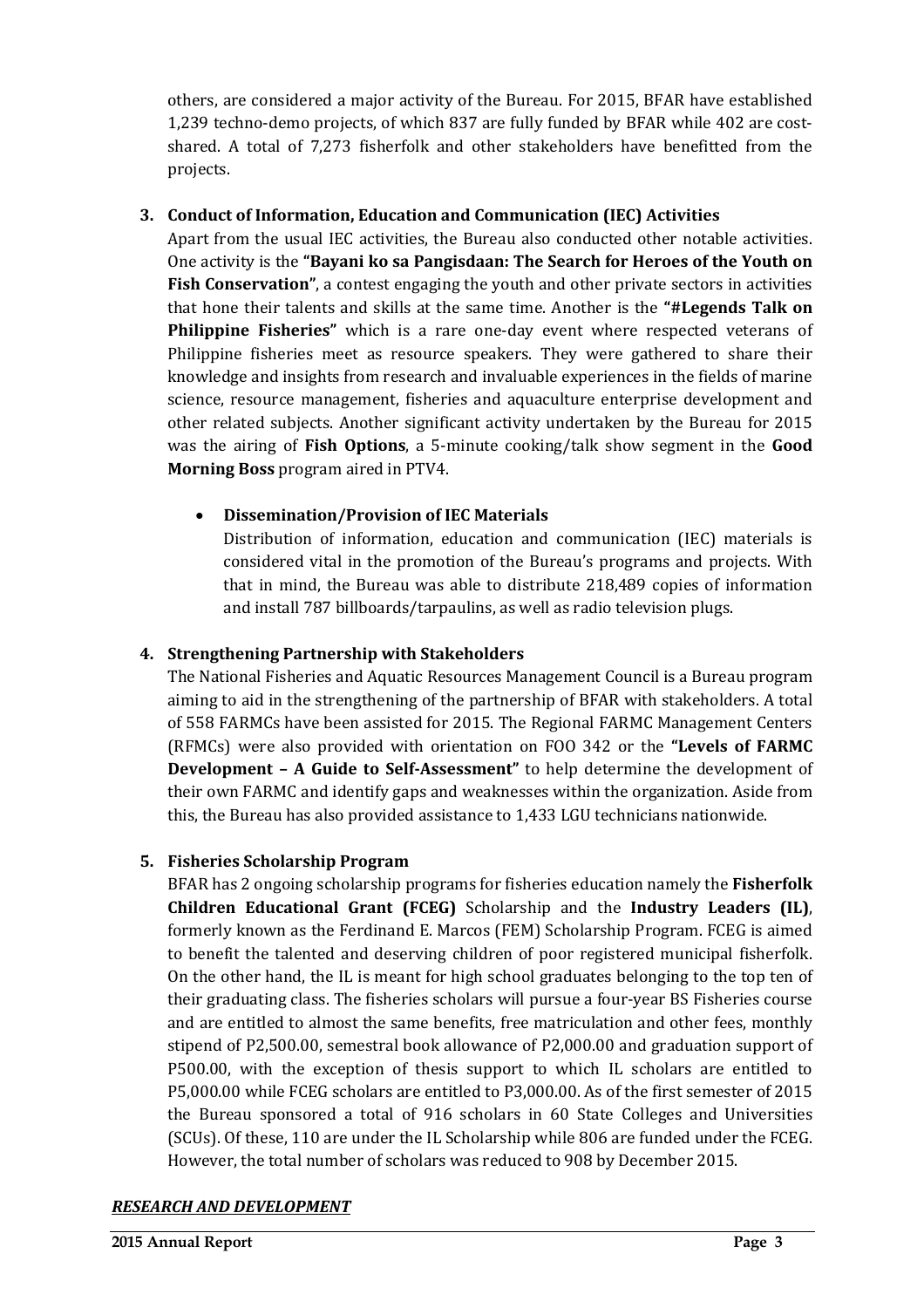others, are considered a major activity of the Bureau. For 2015, BFAR have established 1,239 techno-demo projects, of which 837 are fully funded by BFAR while 402 are costshared. A total of 7,273 fisherfolk and other stakeholders have benefitted from the projects.

## **3. Conduct of Information, Education and Communication (IEC) Activities**

Apart from the usual IEC activities, the Bureau also conducted other notable activities. One activity is the "**Bayani ko sa Pangisdaan: The Search for Heroes of the Youth on Fish Conservation"**, a contest engaging the youth and other private sectors in activities that hone their talents and skills at the same time. Another is the "#Legends Talk on **Philippine Fisheries"** which is a rare one-day event where respected veterans of Philippine fisheries meet as resource speakers. They were gathered to share their knowledge and insights from research and invaluable experiences in the fields of marine science, resource management, fisheries and aquaculture enterprise development and other related subjects. Another significant activity undertaken by the Bureau for 2015 was the airing of Fish Options, a 5-minute cooking/talk show segment in the Good **Morning Boss** program aired in PTV4.

## • Dissemination/Provision of IEC Materials

Distribution of information, education and communication (IEC) materials is considered vital in the promotion of the Bureau's programs and projects. With that in mind, the Bureau was able to distribute 218,489 copies of information and install 787 billboards/tarpaulins, as well as radio television plugs.

# **4. Strengthening Partnership with Stakeholders**

The National Fisheries and Aquatic Resources Management Council is a Bureau program aiming to aid in the strengthening of the partnership of BFAR with stakeholders. A total of 558 FARMCs have been assisted for 2015. The Regional FARMC Management Centers (RFMCs) were also provided with orientation on FOO 342 or the "Levels of FARMC **Development - A Guide to Self-Assessment"** to help determine the development of their own FARMC and identify gaps and weaknesses within the organization. Aside from this, the Bureau has also provided assistance to 1,433 LGU technicians nationwide.

### **5. Fisheries Scholarship Program**

BFAR has 2 ongoing scholarship programs for fisheries education namely the Fisherfolk **Children Educational Grant (FCEG)** Scholarship and the **Industry Leaders (IL)**, formerly known as the Ferdinand E. Marcos (FEM) Scholarship Program. FCEG is aimed to benefit the talented and deserving children of poor registered municipal fisherfolk. On the other hand, the IL is meant for high school graduates belonging to the top ten of their graduating class. The fisheries scholars will pursue a four-year BS Fisheries course and are entitled to almost the same benefits, free matriculation and other fees, monthly stipend of P2,500.00, semestral book allowance of P2,000.00 and graduation support of P500.00, with the exception of thesis support to which IL scholars are entitled to P5,000.00 while FCEG scholars are entitled to P3,000.00. As of the first semester of 2015 the Bureau sponsored a total of 916 scholars in 60 State Colleges and Universities (SCUs). Of these, 110 are under the IL Scholarship while 806 are funded under the FCEG. However, the total number of scholars was reduced to 908 by December 2015.

# *RESEARCH AND DEVELOPMENT*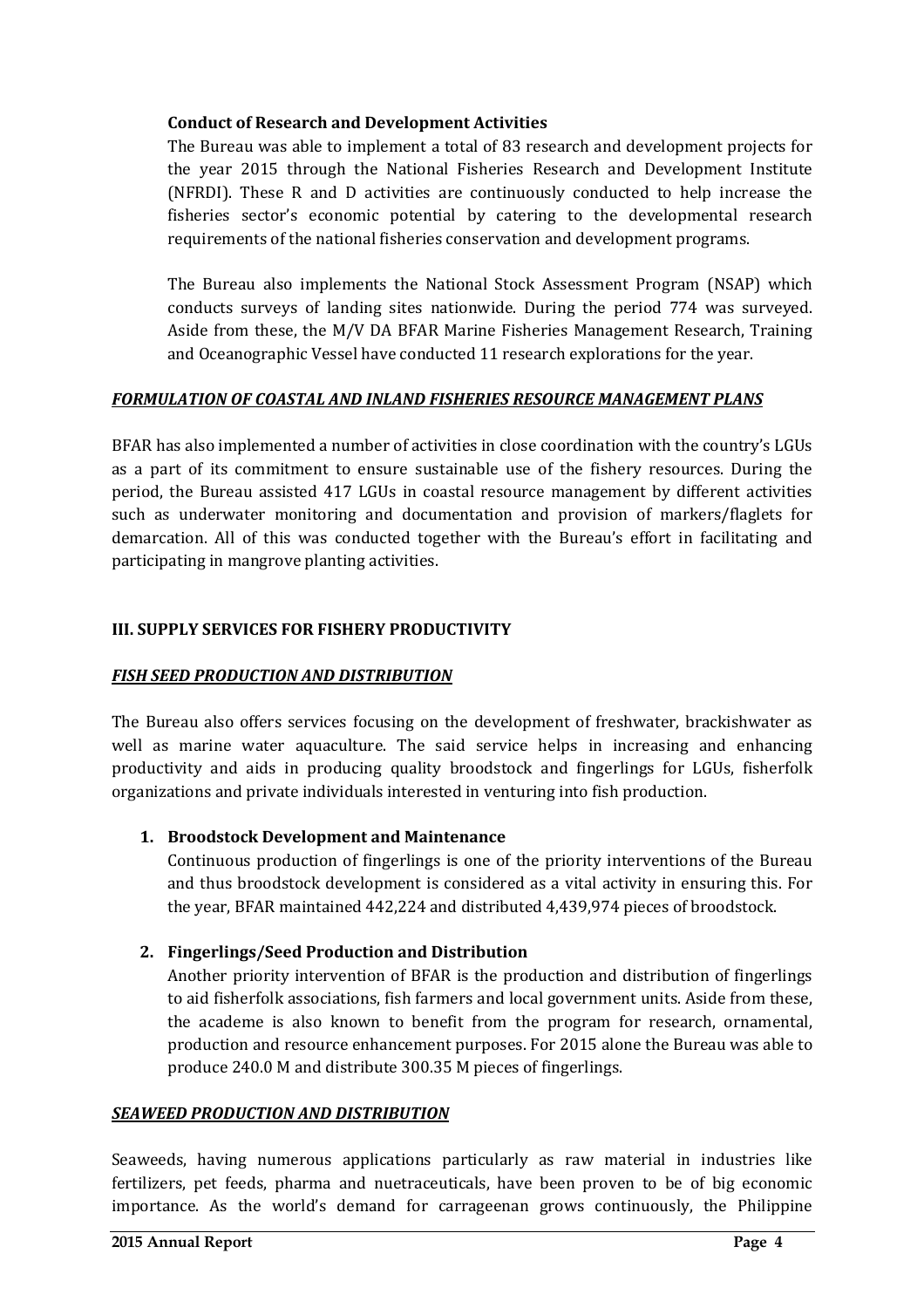### **Conduct of Research and Development Activities**

The Bureau was able to implement a total of 83 research and development projects for the year 2015 through the National Fisheries Research and Development Institute (NFRDI). These R and D activities are continuously conducted to help increase the fisheries sector's economic potential by catering to the developmental research requirements of the national fisheries conservation and development programs.

The Bureau also implements the National Stock Assessment Program (NSAP) which conducts surveys of landing sites nationwide. During the period 774 was surveyed. Aside from these, the M/V DA BFAR Marine Fisheries Management Research, Training and Oceanographic Vessel have conducted 11 research explorations for the year.

## FORMULATION OF COASTAL AND INLAND FISHERIES RESOURCE MANAGEMENT PLANS

BFAR has also implemented a number of activities in close coordination with the country's LGUs as a part of its commitment to ensure sustainable use of the fishery resources. During the period, the Bureau assisted 417 LGUs in coastal resource management by different activities such as underwater monitoring and documentation and provision of markers/flaglets for demarcation. All of this was conducted together with the Bureau's effort in facilitating and participating in mangrove planting activities.

# **III. SUPPLY SERVICES FOR FISHERY PRODUCTIVITY**

### *FISH SEED PRODUCTION AND DISTRIBUTION*

The Bureau also offers services focusing on the development of freshwater, brackishwater as well as marine water aquaculture. The said service helps in increasing and enhancing productivity and aids in producing quality broodstock and fingerlings for LGUs, fisherfolk organizations and private individuals interested in venturing into fish production.

### **1. Broodstock Development and Maintenance**

Continuous production of fingerlings is one of the priority interventions of the Bureau and thus broodstock development is considered as a vital activity in ensuring this. For the year, BFAR maintained 442,224 and distributed 4,439,974 pieces of broodstock.

### **2. Fingerlings/Seed Production and Distribution**

Another priority intervention of BFAR is the production and distribution of fingerlings to aid fisherfolk associations, fish farmers and local government units. Aside from these, the academe is also known to benefit from the program for research, ornamental, production and resource enhancement purposes. For 2015 alone the Bureau was able to produce 240.0 M and distribute 300.35 M pieces of fingerlings.

### **SEAWEED PRODUCTION AND DISTRIBUTION**

Seaweeds, having numerous applications particularly as raw material in industries like fertilizers, pet feeds, pharma and nuetraceuticals, have been proven to be of big economic importance. As the world's demand for carrageenan grows continuously, the Philippine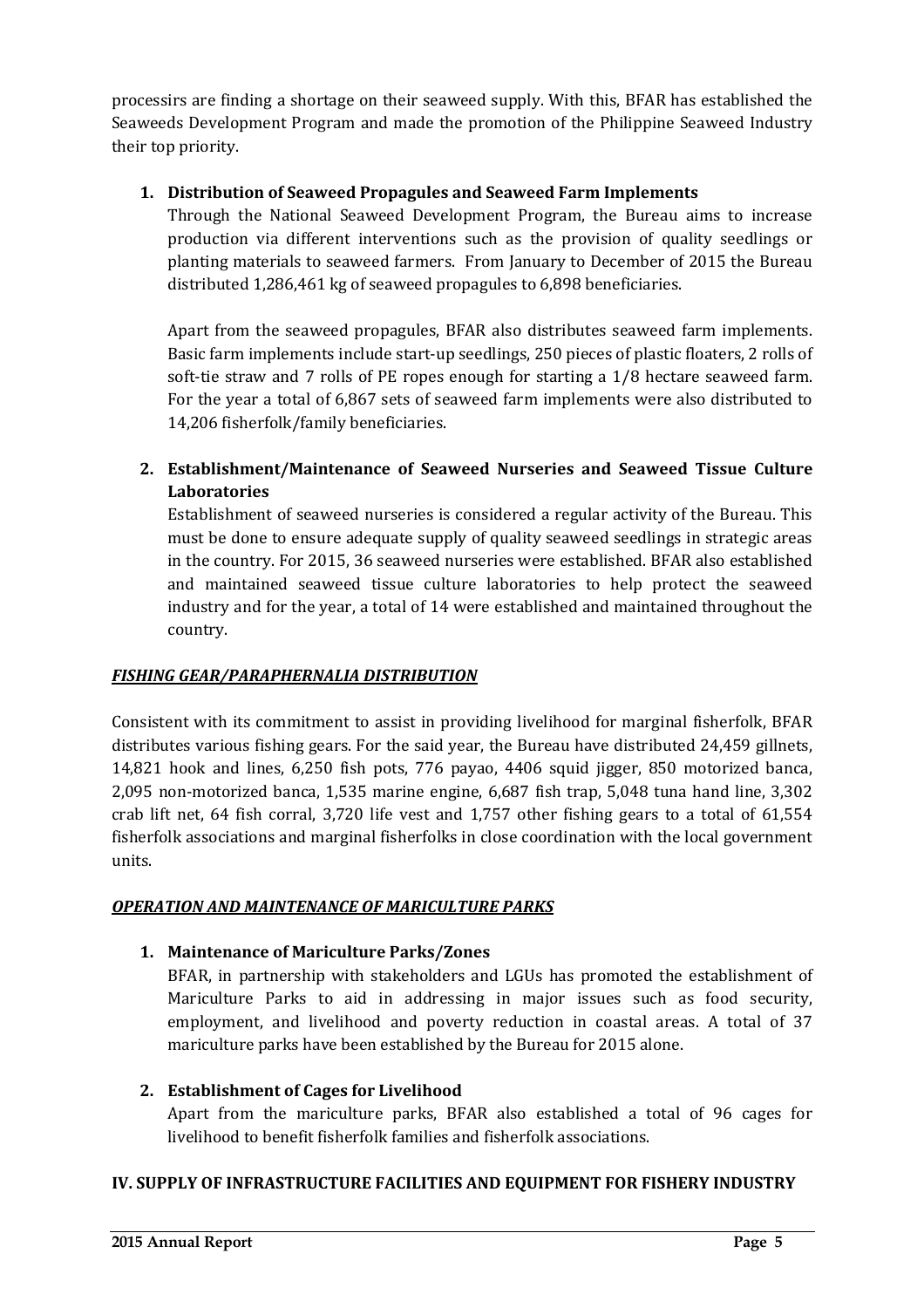processirs are finding a shortage on their seaweed supply. With this, BFAR has established the Seaweeds Development Program and made the promotion of the Philippine Seaweed Industry their top priority.

# **1. Distribution of Seaweed Propagules and Seaweed Farm Implements**

Through the National Seaweed Development Program, the Bureau aims to increase production via different interventions such as the provision of quality seedlings or planting materials to seaweed farmers. From January to December of 2015 the Bureau distributed 1,286,461 kg of seaweed propagules to 6,898 beneficiaries.

Apart from the seaweed propagules, BFAR also distributes seaweed farm implements. Basic farm implements include start-up seedlings, 250 pieces of plastic floaters, 2 rolls of soft-tie straw and  $7$  rolls of PE ropes enough for starting a  $1/8$  hectare seaweed farm. For the year a total of 6,867 sets of seaweed farm implements were also distributed to 14,206 fisherfolk/family beneficiaries.

**2. Establishment/Maintenance of Seaweed Nurseries and Seaweed Tissue Culture Laboratories**

Establishment of seaweed nurseries is considered a regular activity of the Bureau. This must be done to ensure adequate supply of quality seaweed seedlings in strategic areas in the country. For 2015, 36 seaweed nurseries were established. BFAR also established and maintained seaweed tissue culture laboratories to help protect the seaweed industry and for the year, a total of 14 were established and maintained throughout the country.

# *FISHING GEAR/PARAPHERNALIA DISTRIBUTION*

Consistent with its commitment to assist in providing livelihood for marginal fisherfolk, BFAR distributes various fishing gears. For the said year, the Bureau have distributed 24,459 gillnets, 14,821 hook and lines, 6,250 fish pots, 776 payao, 4406 squid jigger, 850 motorized banca, 2,095 non-motorized banca, 1,535 marine engine,  $6.687$  fish trap, 5,048 tuna hand line, 3,302 crab lift net,  $64$  fish corral,  $3,720$  life vest and  $1,757$  other fishing gears to a total of  $61,554$ fisherfolk associations and marginal fisherfolks in close coordination with the local government units.

# *OPERATION AND MAINTENANCE OF MARICULTURE PARKS*

# 1. Maintenance of Mariculture Parks/Zones

BFAR, in partnership with stakeholders and LGUs has promoted the establishment of Mariculture Parks to aid in addressing in major issues such as food security, employment, and livelihood and poverty reduction in coastal areas. A total of 37 mariculture parks have been established by the Bureau for 2015 alone.

### **2. Establishment of Cages for Livelihood**

Apart from the mariculture parks, BFAR also established a total of 96 cages for livelihood to benefit fisherfolk families and fisherfolk associations.

# **IV. SUPPLY OF INFRASTRUCTURE FACILITIES AND EQUIPMENT FOR FISHERY INDUSTRY**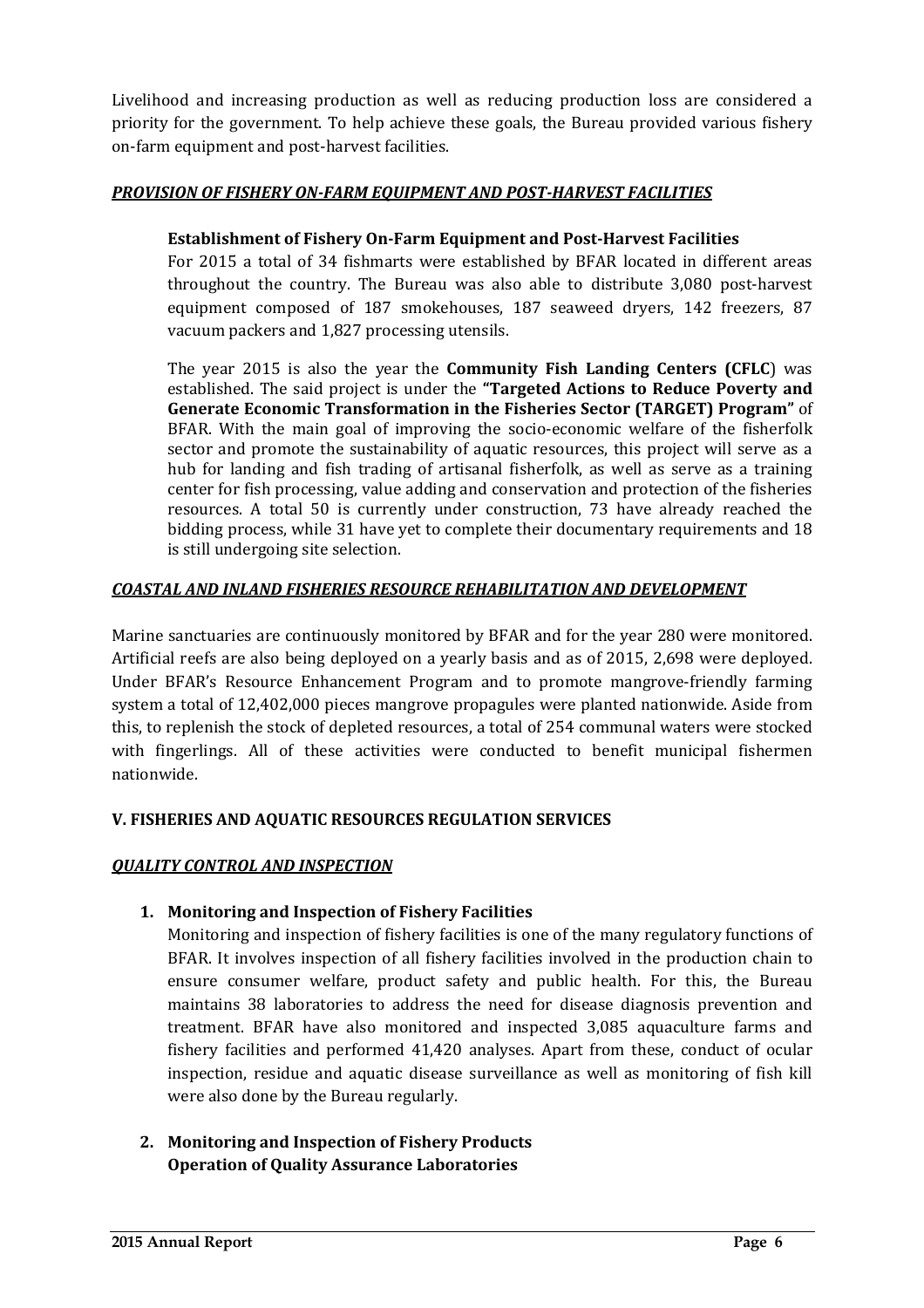Livelihood and increasing production as well as reducing production loss are considered a priority for the government. To help achieve these goals, the Bureau provided various fishery on-farm equipment and post-harvest facilities.

## *PROVISION OF FISHERY ON-FARM EQUIPMENT AND POST-HARVEST FACILITIES*

### **Establishment of Fishery On-Farm Equipment and Post-Harvest Facilities**

For 2015 a total of 34 fishmarts were established by BFAR located in different areas throughout the country. The Bureau was also able to distribute 3,080 post-harvest equipment composed of 187 smokehouses, 187 seaweed dryers, 142 freezers, 87 vacuum packers and 1,827 processing utensils.

The year 2015 is also the year the **Community Fish Landing Centers (CFLC**) was established. The said project is under the "Targeted Actions to Reduce Poverty and **Generate Economic Transformation in the Fisheries Sector (TARGET) Program"** of BFAR. With the main goal of improving the socio-economic welfare of the fisherfolk sector and promote the sustainability of aquatic resources, this project will serve as a hub for landing and fish trading of artisanal fisherfolk, as well as serve as a training center for fish processing, value adding and conservation and protection of the fisheries resources. A total 50 is currently under construction, 73 have already reached the bidding process, while 31 have yet to complete their documentary requirements and 18 is still undergoing site selection.

## *COASTAL AND INLAND FISHERIES RESOURCE REHABILITATION AND DEVELOPMENT*

Marine sanctuaries are continuously monitored by BFAR and for the year 280 were monitored. Artificial reefs are also being deployed on a yearly basis and as of 2015, 2,698 were deployed. Under BFAR's Resource Enhancement Program and to promote mangrove-friendly farming system a total of 12,402,000 pieces mangrove propagules were planted nationwide. Aside from this, to replenish the stock of depleted resources, a total of 254 communal waters were stocked with fingerlings. All of these activities were conducted to benefit municipal fishermen nationwide.

### **V. FISHERIES AND AQUATIC RESOURCES REGULATION SERVICES**

### *QUALITY CONTROL AND INSPECTION*

### 1. Monitoring and Inspection of Fishery Facilities

Monitoring and inspection of fishery facilities is one of the many regulatory functions of BFAR. It involves inspection of all fishery facilities involved in the production chain to ensure consumer welfare, product safety and public health. For this, the Bureau maintains 38 laboratories to address the need for disease diagnosis prevention and treatment. BFAR have also monitored and inspected 3,085 aquaculture farms and fishery facilities and performed 41,420 analyses. Apart from these, conduct of ocular inspection, residue and aquatic disease surveillance as well as monitoring of fish kill were also done by the Bureau regularly.

2. Monitoring and Inspection of Fishery Products **Operation of Quality Assurance Laboratories**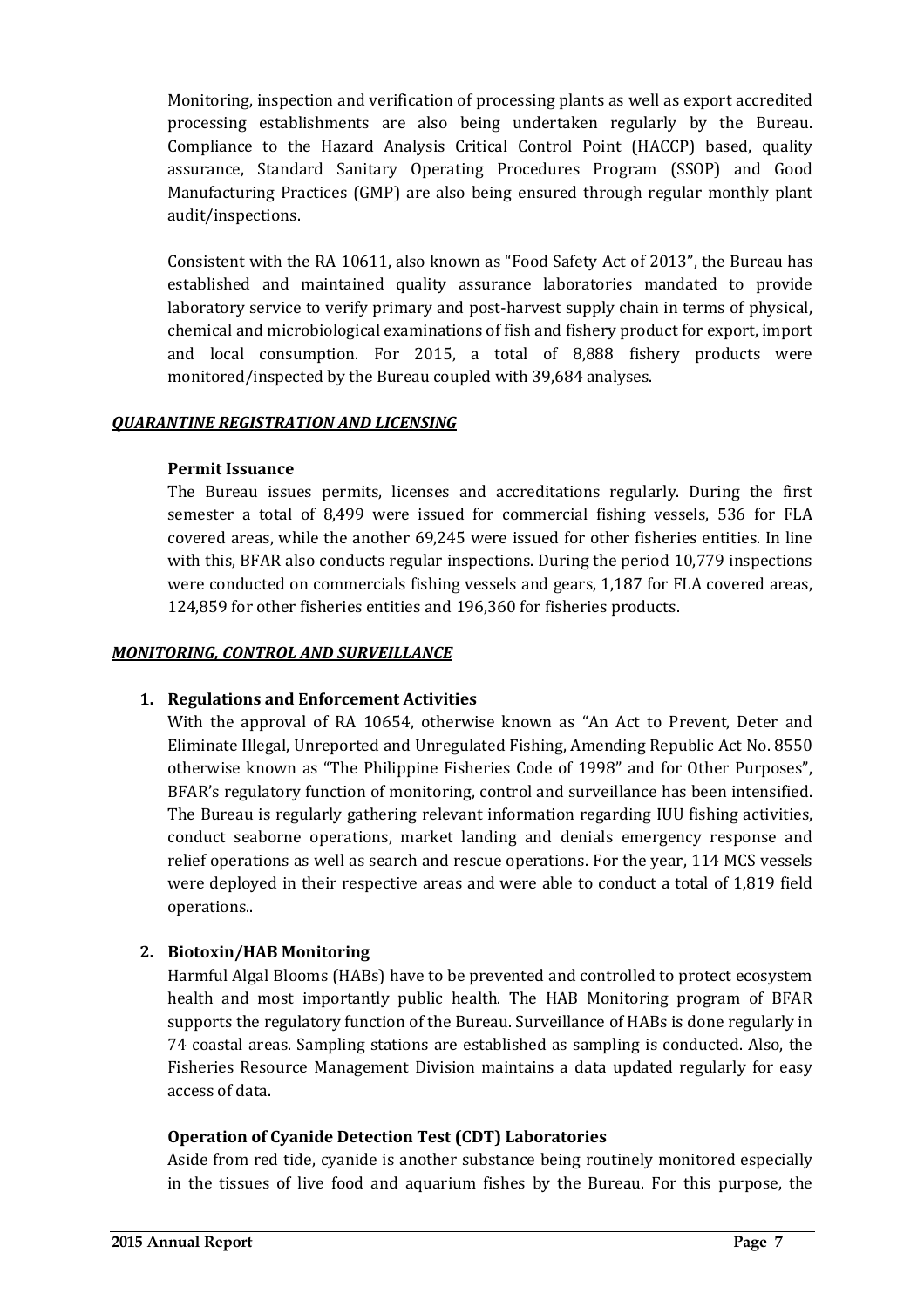Monitoring, inspection and verification of processing plants as well as export accredited processing establishments are also being undertaken regularly by the Bureau. Compliance to the Hazard Analysis Critical Control Point (HACCP) based, quality assurance, Standard Sanitary Operating Procedures Program (SSOP) and Good Manufacturing Practices (GMP) are also being ensured through regular monthly plant audit/inspections. 

Consistent with the RA 10611, also known as "Food Safety Act of 2013", the Bureau has established and maintained quality assurance laboratories mandated to provide laboratory service to verify primary and post-harvest supply chain in terms of physical, chemical and microbiological examinations of fish and fishery product for export, import and local consumption. For 2015, a total of 8,888 fishery products were monitored/inspected by the Bureau coupled with 39,684 analyses.

### *QUARANTINE REGISTRATION AND LICENSING*

#### **Permit Issuance**

The Bureau issues permits, licenses and accreditations regularly. During the first semester a total of 8,499 were issued for commercial fishing vessels, 536 for FLA covered areas, while the another 69,245 were issued for other fisheries entities. In line with this, BFAR also conducts regular inspections. During the period  $10,779$  inspections were conducted on commercials fishing vessels and gears, 1,187 for FLA covered areas, 124,859 for other fisheries entities and 196,360 for fisheries products.

#### **MONITORING, CONTROL AND SURVEILLANCE**

#### **1. Regulations and Enforcement Activities**

With the approval of RA 10654, otherwise known as "An Act to Prevent, Deter and Eliminate Illegal, Unreported and Unregulated Fishing, Amending Republic Act No. 8550 otherwise known as "The Philippine Fisheries Code of 1998" and for Other Purposes", BFAR's regulatory function of monitoring, control and surveillance has been intensified. The Bureau is regularly gathering relevant information regarding IUU fishing activities, conduct seaborne operations, market landing and denials emergency response and relief operations as well as search and rescue operations. For the year, 114 MCS vessels were deployed in their respective areas and were able to conduct a total of 1,819 field operations..

### **2. Biotoxin/HAB Monitoring**

Harmful Algal Blooms (HABs) have to be prevented and controlled to protect ecosystem health and most importantly public health. The HAB Monitoring program of BFAR supports the regulatory function of the Bureau. Surveillance of HABs is done regularly in 74 coastal areas. Sampling stations are established as sampling is conducted. Also, the Fisheries Resource Management Division maintains a data updated regularly for easy access of data.

#### **Operation of Cyanide Detection Test (CDT) Laboratories**

Aside from red tide, cyanide is another substance being routinely monitored especially in the tissues of live food and aquarium fishes by the Bureau. For this purpose, the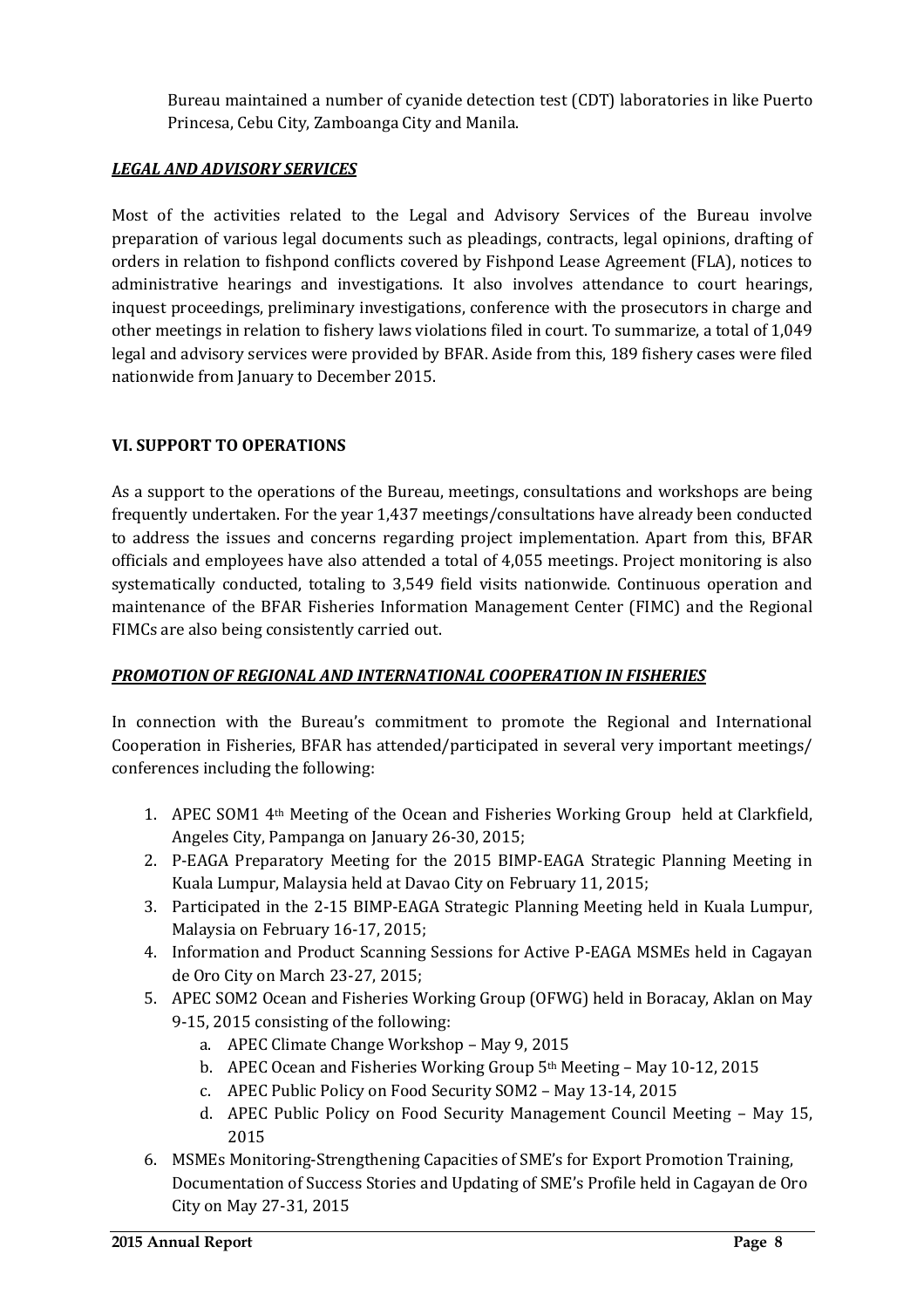Bureau maintained a number of cyanide detection test (CDT) laboratories in like Puerto Princesa, Cebu City, Zamboanga City and Manila.

## *LEGAL AND ADVISORY SERVICES*

Most of the activities related to the Legal and Advisory Services of the Bureau involve preparation of various legal documents such as pleadings, contracts, legal opinions, drafting of orders in relation to fishpond conflicts covered by Fishpond Lease Agreement (FLA), notices to administrative hearings and investigations. It also involves attendance to court hearings, inquest proceedings, preliminary investigations, conference with the prosecutors in charge and other meetings in relation to fishery laws violations filed in court. To summarize, a total of 1,049 legal and advisory services were provided by BFAR. Aside from this, 189 fishery cases were filed nationwide from January to December 2015.

## **VI. SUPPORT TO OPERATIONS**

As a support to the operations of the Bureau, meetings, consultations and workshops are being frequently undertaken. For the year 1,437 meetings/consultations have already been conducted to address the issues and concerns regarding project implementation. Apart from this, BFAR officials and employees have also attended a total of 4,055 meetings. Project monitoring is also systematically conducted, totaling to 3,549 field visits nationwide. Continuous operation and maintenance of the BFAR Fisheries Information Management Center (FIMC) and the Regional FIMCs are also being consistently carried out.

### *PROMOTION OF REGIONAL AND INTERNATIONAL COOPERATION IN FISHERIES*

In connection with the Bureau's commitment to promote the Regional and International Cooperation in Fisheries, BFAR has attended/participated in several very important meetings/ conferences including the following:

- 1. APEC SOM1  $4<sup>th</sup>$  Meeting of the Ocean and Fisheries Working Group held at Clarkfield, Angeles City, Pampanga on January 26-30, 2015;
- 2. P-EAGA Preparatory Meeting for the 2015 BIMP-EAGA Strategic Planning Meeting in Kuala Lumpur, Malaysia held at Davao City on February 11, 2015;
- 3. Participated in the 2-15 BIMP-EAGA Strategic Planning Meeting held in Kuala Lumpur, Malaysia on February 16-17, 2015;
- 4. Information and Product Scanning Sessions for Active P-EAGA MSMEs held in Cagayan de Oro City on March 23-27, 2015;
- 5. APEC SOM2 Ocean and Fisheries Working Group (OFWG) held in Boracay, Aklan on May 9-15, 2015 consisting of the following:
	- a. APEC Climate Change Workshop May 9, 2015
	- b. APEC Ocean and Fisheries Working Group 5<sup>th</sup> Meeting May 10-12, 2015
	- c. APEC Public Policy on Food Security SOM2 May 13-14, 2015
	- d. APEC Public Policy on Food Security Management Council Meeting May 15, 2015
- 6. MSMEs Monitoring-Strengthening Capacities of SME's for Export Promotion Training, Documentation of Success Stories and Updating of SME's Profile held in Cagayan de Oro City on May 27-31, 2015